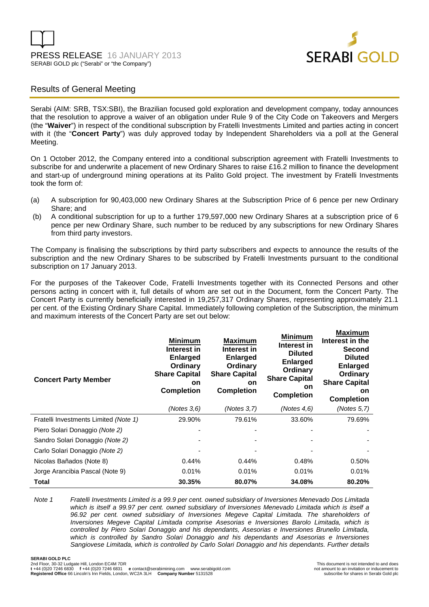



## Results of General Meeting

Serabi (AIM: SRB, TSX:SBI), the Brazilian focused gold exploration and development company, today announces that the resolution to approve a waiver of an obligation under Rule 9 of the City Code on Takeovers and Mergers (the "**Waiver**") in respect of the conditional subscription by Fratelli Investments Limited and parties acting in concert with it (the "**Concert Party**") was duly approved today by Independent Shareholders via a poll at the General Meeting.

On 1 October 2012, the Company entered into a conditional subscription agreement with Fratelli Investments to subscribe for and underwrite a placement of new Ordinary Shares to raise £16.2 million to finance the development and start-up of underground mining operations at its Palito Gold project. The investment by Fratelli Investments took the form of:

- (a) A subscription for 90,403,000 new Ordinary Shares at the Subscription Price of 6 pence per new Ordinary Share; and
- (b) A conditional subscription for up to a further 179,597,000 new Ordinary Shares at a subscription price of 6 pence per new Ordinary Share, such number to be reduced by any subscriptions for new Ordinary Shares from third party investors.

The Company is finalising the subscriptions by third party subscribers and expects to announce the results of the subscription and the new Ordinary Shares to be subscribed by Fratelli Investments pursuant to the conditional subscription on 17 January 2013.

For the purposes of the Takeover Code, Fratelli Investments together with its Connected Persons and other persons acting in concert with it, full details of whom are set out in the Document, form the Concert Party. The Concert Party is currently beneficially interested in 19,257,317 Ordinary Shares, representing approximately 21.1 per cent. of the Existing Ordinary Share Capital. Immediately following completion of the Subscription, the minimum and maximum interests of the Concert Party are set out below:

| <b>Concert Party Member</b>           | <b>Minimum</b><br>Interest in<br><b>Enlarged</b><br>Ordinary<br><b>Share Capital</b><br><b>on</b><br><b>Completion</b> | <b>Maximum</b><br>Interest in<br><b>Enlarged</b><br>Ordinary<br><b>Share Capital</b><br><b>on</b><br><b>Completion</b> | Minimum<br>Interest in<br><b>Diluted</b><br><b>Enlarged</b><br>Ordinary<br><b>Share Capital</b><br><b>on</b><br><b>Completion</b> | Maximum<br>Interest in the<br><b>Second</b><br><b>Diluted</b><br><b>Enlarged</b><br>Ordinary<br><b>Share Capital</b><br><b>on</b><br><b>Completion</b> |
|---------------------------------------|------------------------------------------------------------------------------------------------------------------------|------------------------------------------------------------------------------------------------------------------------|-----------------------------------------------------------------------------------------------------------------------------------|--------------------------------------------------------------------------------------------------------------------------------------------------------|
|                                       | (Notes 3, 6)                                                                                                           | (Notes 3.7)                                                                                                            | (Notes $4.6$ )                                                                                                                    | (Notes 5,7)                                                                                                                                            |
| Fratelli Investments Limited (Note 1) | 29.90%                                                                                                                 | 79.61%                                                                                                                 | 33.60%                                                                                                                            | 79.69%                                                                                                                                                 |
| Piero Solari Donaggio (Note 2)        |                                                                                                                        |                                                                                                                        |                                                                                                                                   |                                                                                                                                                        |
| Sandro Solari Donaggio (Note 2)       |                                                                                                                        |                                                                                                                        |                                                                                                                                   |                                                                                                                                                        |
| Carlo Solari Donaggio (Note 2)        |                                                                                                                        |                                                                                                                        |                                                                                                                                   |                                                                                                                                                        |
| Nicolas Bañados (Note 8)              | 0.44%                                                                                                                  | 0.44%                                                                                                                  | 0.48%                                                                                                                             | 0.50%                                                                                                                                                  |
| Jorge Arancibia Pascal (Note 9)       | 0.01%                                                                                                                  | 0.01%                                                                                                                  | 0.01%                                                                                                                             | 0.01%                                                                                                                                                  |
| Total                                 | 30.35%                                                                                                                 | 80.07%                                                                                                                 | 34.08%                                                                                                                            | 80.20%                                                                                                                                                 |

Note 1 Fratelli Investments Limited is a 99.9 per cent. owned subsidiary of Inversiones Menevado Dos Limitada which is itself a 99.97 per cent. owned subsidiary of Inversiones Menevado Limitada which is itself a 96.92 per cent. owned subsidiary of Inversiones Megeve Capital Limitada. The shareholders of Inversiones Megeve Capital Limitada comprise Asesorias e Inversiones Barolo Limitada, which is controlled by Piero Solari Donaggio and his dependants, Asesorias e Inversiones Brunello Limitada, which is controlled by Sandro Solari Donaggio and his dependants and Asesorias e Inversiones Sangiovese Limitada, which is controlled by Carlo Solari Donaggio and his dependants. Further details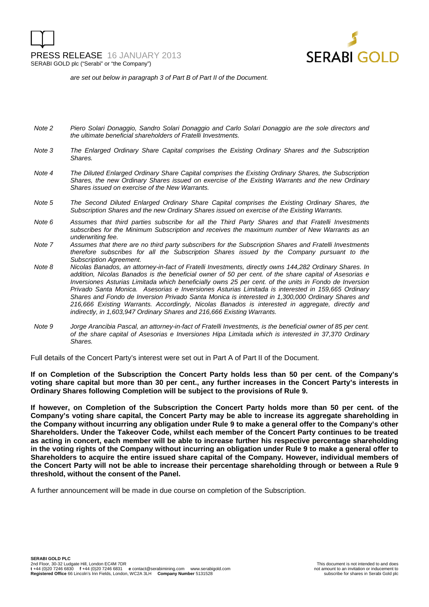

are set out below in paragraph 3 of Part B of Part II of the Document.

- Note 2 Piero Solari Donaggio, Sandro Solari Donaggio and Carlo Solari Donaggio are the sole directors and the ultimate beneficial shareholders of Fratelli Investments.
- Note 3 The Enlarged Ordinary Share Capital comprises the Existing Ordinary Shares and the Subscription Shares.
- Note 4 The Diluted Enlarged Ordinary Share Capital comprises the Existing Ordinary Shares, the Subscription Shares, the new Ordinary Shares issued on exercise of the Existing Warrants and the new Ordinary Shares issued on exercise of the New Warrants.
- Note 5 The Second Diluted Enlarged Ordinary Share Capital comprises the Existing Ordinary Shares, the Subscription Shares and the new Ordinary Shares issued on exercise of the Existing Warrants.
- Note 6 Assumes that third parties subscribe for all the Third Party Shares and that Fratelli Investments subscribes for the Minimum Subscription and receives the maximum number of New Warrants as an underwriting fee.
- Note 7 Assumes that there are no third party subscribers for the Subscription Shares and Fratelli Investments therefore subscribes for all the Subscription Shares issued by the Company pursuant to the Subscription Agreement.
- Note 8 Nicolas Banados, an attorney-in-fact of Fratelli Investments, directly owns 144,282 Ordinary Shares. In addition, Nicolas Banados is the beneficial owner of 50 per cent. of the share capital of Asesorias e Inversiones Asturias Limitada which beneficially owns 25 per cent. of the units in Fondo de Inversion Privado Santa Monica. Asesorias e Inversiones Asturias Limitada is interested in 159,665 Ordinary Shares and Fondo de Inversion Privado Santa Monica is interested in 1,300,000 Ordinary Shares and 216,666 Existing Warrants. Accordingly, Nicolas Banados is interested in aggregate, directly and indirectly, in 1,603,947 Ordinary Shares and 216,666 Existing Warrants.
- Note 9 Jorge Arancibia Pascal, an attorney-in-fact of Fratelli Investments, is the beneficial owner of 85 per cent. of the share capital of Asesorias e Inversiones Hipa Limitada which is interested in 37,370 Ordinary Shares.

Full details of the Concert Party's interest were set out in Part A of Part II of the Document.

**If on Completion of the Subscription the Concert Party holds less than 50 per cent. of the Company's voting share capital but more than 30 per cent., any further increases in the Concert Party's interests in Ordinary Shares following Completion will be subject to the provisions of Rule 9.** 

**If however, on Completion of the Subscription the Concert Party holds more than 50 per cent. of the Company's voting share capital, the Concert Party may be able to increase its aggregate shareholding in the Company without incurring any obligation under Rule 9 to make a general offer to the Company's other Shareholders. Under the Takeover Code, whilst each member of the Concert Party continues to be treated as acting in concert, each member will be able to increase further his respective percentage shareholding in the voting rights of the Company without incurring an obligation under Rule 9 to make a general offer to Shareholders to acquire the entire issued share capital of the Company. However, individual members of the Concert Party will not be able to increase their percentage shareholding through or between a Rule 9 threshold, without the consent of the Panel.** 

A further announcement will be made in due course on completion of the Subscription.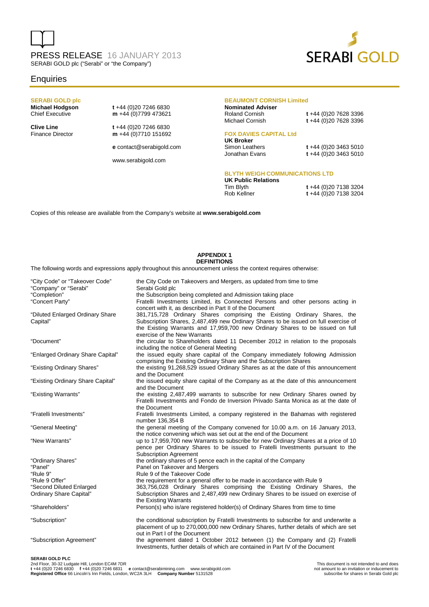# PRESS RELEASE 16 JANUARY 2013 SERABI GOLD plc ("Serabi" or "the Company")



### **Enquiries**

## **SERABI GOLD plc**

**Michael Hodgson t** +44 (0)20 7246 6830<br>Chief Executive **m** +44 (0)7799 473621 m +44 (0)7799 473621

**Clive Line** t +44 (0)20 7246 6830<br>Finance Director **m** +44 (0)7710 151692 m +44 (0)7710 151692

**e** contact@serabigold.com

www.serabigold.com

#### **BEAUMONT CORNISH Limited**

**Nominated Adviser**  Roland Cornish **t** +44 (0)20 7628 3396

Michael Cornish **t** +44 (0)20 7628 3396

### **FOX DAVIES CAPITAL Ltd**

**UK Broker** 

Simon Leathers **t** +44 (0)20 3463 5010<br>Jonathan Evans **t** +44 (0)20 3463 5010 t +44 (0)20 3463 5010

#### **BLYTH WEIGH COMMUNICATIONS LTD**

**UK Public Relations** 

Tim Blyth **t** +44 (0)20 7138 3204 Rob Kellner **t** +44 (0)20 7138 3204

Copies of this release are available from the Company's website at **www.serabigold.com** 

#### **APPENDIX 1 DEFINITIONS**

The following words and expressions apply throughout this announcement unless the context requires otherwise:

| "City Code" or "Takeover Code"<br>"Company" or "Serabi"<br>"Completion"<br>"Concert Party" | the City Code on Takeovers and Mergers, as updated from time to time<br>Serabi Gold plc<br>the Subscription being completed and Admission taking place<br>Fratelli Investments Limited, its Connected Persons and other persons acting in                                                                                                    |
|--------------------------------------------------------------------------------------------|----------------------------------------------------------------------------------------------------------------------------------------------------------------------------------------------------------------------------------------------------------------------------------------------------------------------------------------------|
| "Diluted Enlarged Ordinary Share<br>Capital"                                               | concert with it, as described in Part II of the Document<br>381,715,728 Ordinary Shares comprising the Existing Ordinary Shares, the<br>Subscription Shares, 2,487,499 new Ordinary Shares to be issued on full exercise of<br>the Existing Warrants and 17,959,700 new Ordinary Shares to be issued on full<br>exercise of the New Warrants |
| "Document"                                                                                 | the circular to Shareholders dated 11 December 2012 in relation to the proposals<br>including the notice of General Meeting                                                                                                                                                                                                                  |
| "Enlarged Ordinary Share Capital"                                                          | the issued equity share capital of the Company immediately following Admission<br>comprising the Existing Ordinary Share and the Subscription Shares                                                                                                                                                                                         |
| "Existing Ordinary Shares"                                                                 | the existing 91,268,529 issued Ordinary Shares as at the date of this announcement<br>and the Document                                                                                                                                                                                                                                       |
| "Existing Ordinary Share Capital"                                                          | the issued equity share capital of the Company as at the date of this announcement<br>and the Document                                                                                                                                                                                                                                       |
| "Existing Warrants"                                                                        | the existing 2,487,499 warrants to subscribe for new Ordinary Shares owned by<br>Fratelli Investments and Fondo de Inversion Privado Santa Monica as at the date of<br>the Document                                                                                                                                                          |
| "Fratelli Investments"                                                                     | Fratelli Investments Limited, a company registered in the Bahamas with registered<br>number 136,354 B                                                                                                                                                                                                                                        |
| "General Meeting"                                                                          | the general meeting of the Company convened for 10.00 a.m. on 16 January 2013,<br>the notice convening which was set out at the end of the Document                                                                                                                                                                                          |
| "New Warrants"                                                                             | up to 17,959,700 new Warrants to subscribe for new Ordinary Shares at a price of 10<br>pence per Ordinary Shares to be issued to Fratelli Investments pursuant to the<br><b>Subscription Agreement</b>                                                                                                                                       |
| "Ordinary Shares"                                                                          | the ordinary shares of 5 pence each in the capital of the Company                                                                                                                                                                                                                                                                            |
| "Panel"<br>"Rule 9"                                                                        | Panel on Takeover and Mergers<br>Rule 9 of the Takeover Code                                                                                                                                                                                                                                                                                 |
| "Rule 9 Offer"                                                                             | the requirement for a general offer to be made in accordance with Rule 9                                                                                                                                                                                                                                                                     |
| "Second Diluted Enlarged                                                                   | 363,756,028 Ordinary Shares comprising the Existing Ordinary Shares, the                                                                                                                                                                                                                                                                     |
| Ordinary Share Capital"                                                                    | Subscription Shares and 2,487,499 new Ordinary Shares to be issued on exercise of<br>the Existing Warrants                                                                                                                                                                                                                                   |
| "Shareholders"                                                                             | Person(s) who is/are registered holder(s) of Ordinary Shares from time to time                                                                                                                                                                                                                                                               |
| "Subscription"                                                                             | the conditional subscription by Fratelli Investments to subscribe for and underwrite a<br>placement of up to 270,000,000 new Ordinary Shares, further details of which are set<br>out in Part I of the Document                                                                                                                              |
| "Subscription Agreement"                                                                   | the agreement dated 1 October 2012 between (1) the Company and (2) Fratelli<br>Investments, further details of which are contained in Part IV of the Document                                                                                                                                                                                |
| SERABLGOLD PLC.                                                                            |                                                                                                                                                                                                                                                                                                                                              |